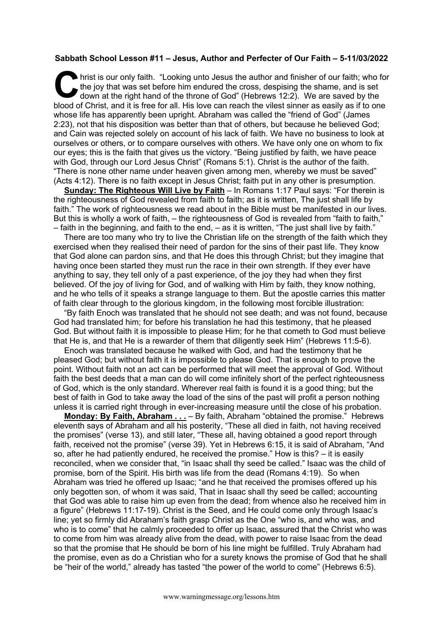## **Sabbath School Lesson #11 – Jesus, Author and Perfecter of Our Faith – 5-11/03/2022**

hrist is our only faith. "Looking unto Jesus the author and finisher of our faith; who for the joy that was set before him endured the cross, despising the shame, and is set down at the right hand of the throne of God" (Hebrews 12:2). We are saved by the blood of Christ, and it is free for all. His love can reach the vilest sinner as easily as if to one whose life has apparently been upright. Abraham was called the "friend of God" (James 2:23), not that his disposition was better than that of others, but because he believed God; and Cain was rejected solely on account of his lack of faith. We have no business to look at ourselves or others, or to compare ourselves with others. We have only one on whom to fix our eyes; this is the faith that gives us the victory. "Being justified by faith, we have peace with God, through our Lord Jesus Christ" (Romans 5:1). Christ is the author of the faith. "There is none other name under heaven given among men, whereby we must be saved" (Acts 4:12). There is no faith except in Jesus Christ; faith put in any other is presumption. **C** the

**Sunday: The Righteous Will Live by Faith** – In Romans 1:17 Paul says: "For therein is the righteousness of God revealed from faith to faith; as it is written, The just shall life by faith." The work of righteousness we read about in the Bible must be manifested in our lives. But this is wholly a work of faith, – the righteousness of God is revealed from "faith to faith," – faith in the beginning, and faith to the end, – as it is written, "The just shall live by faith."

There are too many who try to live the Christian life on the strength of the faith which they exercised when they realised their need of pardon for the sins of their past life. They know that God alone can pardon sins, and that He does this through Christ; but they imagine that having once been started they must run the race in their own strength. If they ever have anything to say, they tell only of a past experience, of the joy they had when they first believed. Of the joy of living for God, and of walking with Him by faith, they know nothing, and he who tells of it speaks a strange language to them. But the apostle carries this matter of faith clear through to the glorious kingdom, in the following most forcible illustration:

"By faith Enoch was translated that he should not see death; and was not found, because God had translated him; for before his translation he had this testimony, that he pleased God. But without faith it is impossible to please Him; for he that cometh to God must believe that He is, and that He is a rewarder of them that diligently seek Him" (Hebrews 11:5-6).

Enoch was translated because he walked with God, and had the testimony that he pleased God; but without faith it is impossible to please God. That is enough to prove the point. Without faith not an act can be performed that will meet the approval of God. Without faith the best deeds that a man can do will come infinitely short of the perfect righteousness of God, which is the only standard. Wherever real faith is found it is a good thing; but the best of faith in God to take away the load of the sins of the past will profit a person nothing unless it is carried right through in ever-increasing measure until the close of his probation.

**Monday: By Faith, Abraham . . .** – By faith, Abraham "obtained the promise." Hebrews eleventh says of Abraham and all his posterity, "These all died in faith, not having received the promises" (verse 13), and still later, "These all, having obtained a good report through faith, received not the promise" (verse 39). Yet in Hebrews 6:15, it is said of Abraham, "And so, after he had patiently endured, he received the promise." How is this? – it is easily reconciled, when we consider that, "in Isaac shall thy seed be called." Isaac was the child of promise, born of the Spirit. His birth was life from the dead (Romans 4:19). So when Abraham was tried he offered up Isaac; "and he that received the promises offered up his only begotten son, of whom it was said, That in Isaac shall thy seed be called; accounting that God was able to raise him up even from the dead; from whence also he received him in a figure" (Hebrews 11:17-19). Christ is the Seed, and He could come only through Isaac's line; yet so firmly did Abraham's faith grasp Christ as the One "who is, and who was, and who is to come" that he calmly proceeded to offer up Isaac, assured that the Christ who was to come from him was already alive from the dead, with power to raise Isaac from the dead so that the promise that He should be born of his line might be fulfilled. Truly Abraham had the promise, even as do a Christian who for a surety knows the promise of God that he shall be "heir of the world," already has tasted "the power of the world to come" (Hebrews 6:5).